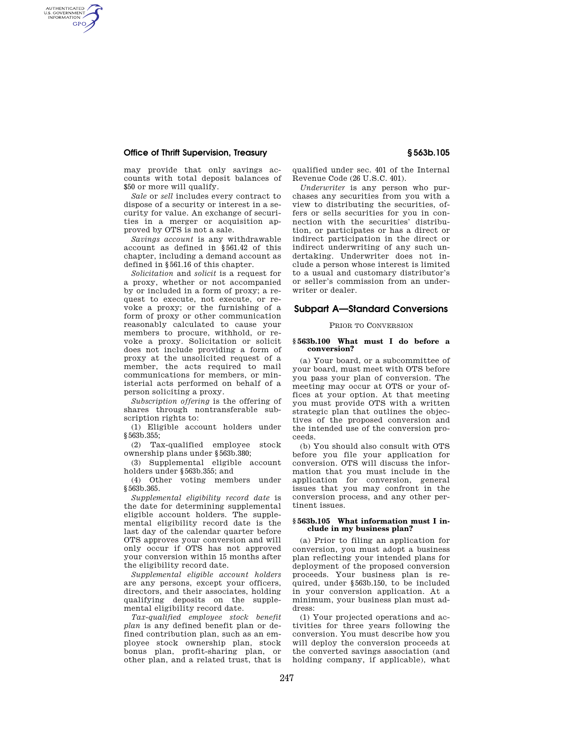# **Office of Thrift Supervision, Treasury § 563b.105**

AUTHENTICATED<br>U.S. GOVERNMENT<br>INFORMATION **GPO** 

> may provide that only savings accounts with total deposit balances of \$50 or more will qualify.

> *Sale* or *sell* includes every contract to dispose of a security or interest in a security for value. An exchange of securities in a merger or acquisition approved by OTS is not a sale.

> *Savings account* is any withdrawable account as defined in §561.42 of this chapter, including a demand account as defined in §561.16 of this chapter.

> *Solicitation* and *solicit* is a request for a proxy, whether or not accompanied by or included in a form of proxy; a request to execute, not execute, or revoke a proxy; or the furnishing of a form of proxy or other communication reasonably calculated to cause your members to procure, withhold, or revoke a proxy. Solicitation or solicit does not include providing a form of proxy at the unsolicited request of a member, the acts required to mail communications for members, or ministerial acts performed on behalf of a person soliciting a proxy.

> *Subscription offering* is the offering of shares through nontransferable subscription rights to:

(1) Eligible account holders under §563b.355;

(2) Tax-qualified employee stock ownership plans under §563b.380;

(3) Supplemental eligible account holders under §563b.355; and

(4) Other voting members under §563b.365.

*Supplemental eligibility record date* is the date for determining supplemental eligible account holders. The supplemental eligibility record date is the last day of the calendar quarter before OTS approves your conversion and will only occur if OTS has not approved your conversion within 15 months after the eligibility record date.

*Supplemental eligible account holders*  are any persons, except your officers, directors, and their associates, holding qualifying deposits on the supplemental eligibility record date.

*Tax-qualified employee stock benefit plan* is any defined benefit plan or defined contribution plan, such as an employee stock ownership plan, stock bonus plan, profit-sharing plan, or other plan, and a related trust, that is qualified under sec. 401 of the Internal Revenue Code (26 U.S.C. 401).

*Underwriter* is any person who purchases any securities from you with a view to distributing the securities, offers or sells securities for you in connection with the securities' distribution, or participates or has a direct or indirect participation in the direct or indirect underwriting of any such undertaking. Underwriter does not include a person whose interest is limited to a usual and customary distributor's or seller's commission from an underwriter or dealer.

# **Subpart A—Standard Conversions**

### PRIOR TO CONVERSION

#### **§ 563b.100 What must I do before a conversion?**

(a) Your board, or a subcommittee of your board, must meet with OTS before you pass your plan of conversion. The meeting may occur at OTS or your offices at your option. At that meeting you must provide OTS with a written strategic plan that outlines the objectives of the proposed conversion and the intended use of the conversion proceeds.

(b) You should also consult with OTS before you file your application for conversion. OTS will discuss the information that you must include in the application for conversion, general issues that you may confront in the conversion process, and any other pertinent issues.

### **§ 563b.105 What information must I include in my business plan?**

(a) Prior to filing an application for conversion, you must adopt a business plan reflecting your intended plans for deployment of the proposed conversion proceeds. Your business plan is required, under §563b.150, to be included in your conversion application. At a minimum, your business plan must address:

(1) Your projected operations and activities for three years following the conversion. You must describe how you will deploy the conversion proceeds at the converted savings association (and holding company, if applicable), what